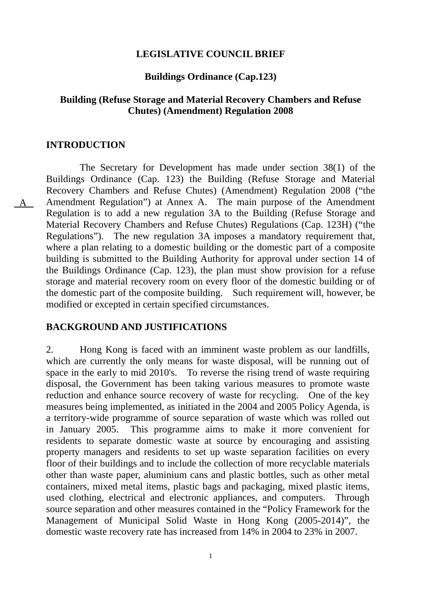### **LEGISLATIVE COUNCIL BRIEF**

#### **Buildings Ordinance (Cap.123)**

### **Building (Refuse Storage and Material Recovery Chambers and Refuse Chutes) (Amendment) Regulation 2008**

#### **INTRODUCTION**

A

 The Secretary for Development has made under section 38(1) of the Buildings Ordinance (Cap. 123) the Building (Refuse Storage and Material Recovery Chambers and Refuse Chutes) (Amendment) Regulation 2008 ("the Amendment Regulation") at Annex A. The main purpose of the Amendment Regulation is to add a new regulation 3A to the Building (Refuse Storage and Material Recovery Chambers and Refuse Chutes) Regulations (Cap. 123H) ("the Regulations"). The new regulation 3A imposes a mandatory requirement that, where a plan relating to a domestic building or the domestic part of a composite building is submitted to the Building Authority for approval under section 14 of the Buildings Ordinance (Cap. 123), the plan must show provision for a refuse storage and material recovery room on every floor of the domestic building or of the domestic part of the composite building. Such requirement will, however, be modified or excepted in certain specified circumstances.

### **BACKGROUND AND JUSTIFICATIONS**

2. Hong Kong is faced with an imminent waste problem as our landfills, which are currently the only means for waste disposal, will be running out of space in the early to mid 2010's. To reverse the rising trend of waste requiring disposal, the Government has been taking various measures to promote waste reduction and enhance source recovery of waste for recycling. One of the key measures being implemented, as initiated in the 2004 and 2005 Policy Agenda, is a territory-wide programme of source separation of waste which was rolled out in January 2005. This programme aims to make it more convenient for residents to separate domestic waste at source by encouraging and assisting property managers and residents to set up waste separation facilities on every floor of their buildings and to include the collection of more recyclable materials other than waste paper, aluminium cans and plastic bottles, such as other metal containers, mixed metal items, plastic bags and packaging, mixed plastic items, used clothing, electrical and electronic appliances, and computers. Through source separation and other measures contained in the "Policy Framework for the Management of Municipal Solid Waste in Hong Kong (2005-2014)", the domestic waste recovery rate has increased from 14% in 2004 to 23% in 2007.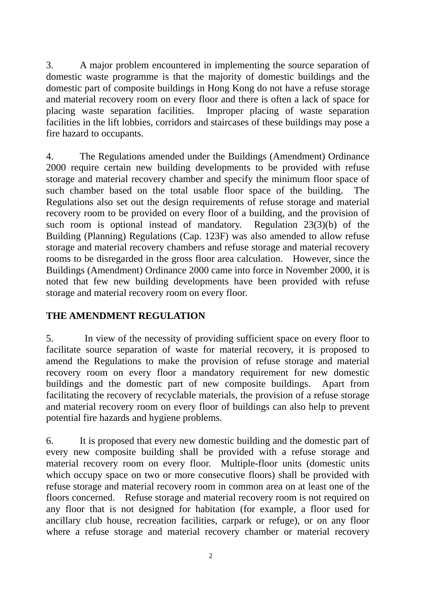3. A major problem encountered in implementing the source separation of domestic waste programme is that the majority of domestic buildings and the domestic part of composite buildings in Hong Kong do not have a refuse storage and material recovery room on every floor and there is often a lack of space for placing waste separation facilities. Improper placing of waste separation facilities in the lift lobbies, corridors and staircases of these buildings may pose a fire hazard to occupants.

4. The Regulations amended under the Buildings (Amendment) Ordinance 2000 require certain new building developments to be provided with refuse storage and material recovery chamber and specify the minimum floor space of such chamber based on the total usable floor space of the building. The Regulations also set out the design requirements of refuse storage and material recovery room to be provided on every floor of a building, and the provision of such room is optional instead of mandatory. Regulation 23(3)(b) of the Building (Planning) Regulations (Cap. 123F) was also amended to allow refuse storage and material recovery chambers and refuse storage and material recovery rooms to be disregarded in the gross floor area calculation. However, since the Buildings (Amendment) Ordinance 2000 came into force in November 2000, it is noted that few new building developments have been provided with refuse storage and material recovery room on every floor.

## **THE AMENDMENT REGULATION**

5. In view of the necessity of providing sufficient space on every floor to facilitate source separation of waste for material recovery, it is proposed to amend the Regulations to make the provision of refuse storage and material recovery room on every floor a mandatory requirement for new domestic buildings and the domestic part of new composite buildings. Apart from facilitating the recovery of recyclable materials, the provision of a refuse storage and material recovery room on every floor of buildings can also help to prevent potential fire hazards and hygiene problems.

6. It is proposed that every new domestic building and the domestic part of every new composite building shall be provided with a refuse storage and material recovery room on every floor. Multiple-floor units (domestic units which occupy space on two or more consecutive floors) shall be provided with refuse storage and material recovery room in common area on at least one of the floors concerned. Refuse storage and material recovery room is not required on any floor that is not designed for habitation (for example, a floor used for ancillary club house, recreation facilities, carpark or refuge), or on any floor where a refuse storage and material recovery chamber or material recovery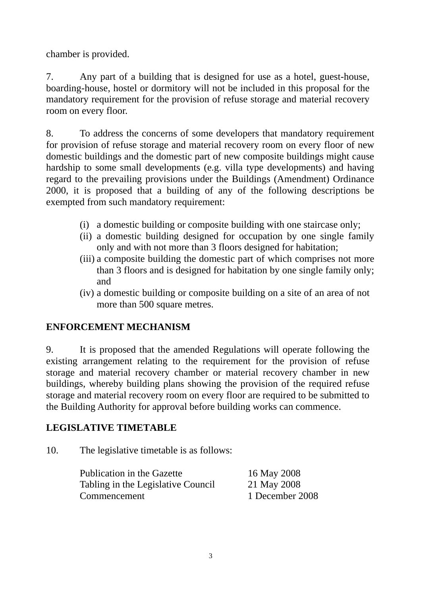chamber is provided.

7. Any part of a building that is designed for use as a hotel, guest-house, boarding-house, hostel or dormitory will not be included in this proposal for the mandatory requirement for the provision of refuse storage and material recovery room on every floor.

8. To address the concerns of some developers that mandatory requirement for provision of refuse storage and material recovery room on every floor of new domestic buildings and the domestic part of new composite buildings might cause hardship to some small developments (e.g. villa type developments) and having regard to the prevailing provisions under the Buildings (Amendment) Ordinance 2000, it is proposed that a building of any of the following descriptions be exempted from such mandatory requirement:

- (i) a domestic building or composite building with one staircase only;
- (ii) a domestic building designed for occupation by one single family only and with not more than 3 floors designed for habitation;
- (iii) a composite building the domestic part of which comprises not more than 3 floors and is designed for habitation by one single family only; and
- (iv) a domestic building or composite building on a site of an area of not more than 500 square metres.

## **ENFORCEMENT MECHANISM**

9. It is proposed that the amended Regulations will operate following the existing arrangement relating to the requirement for the provision of refuse storage and material recovery chamber or material recovery chamber in new buildings, whereby building plans showing the provision of the required refuse storage and material recovery room on every floor are required to be submitted to the Building Authority for approval before building works can commence.

# **LEGISLATIVE TIMETABLE**

10. The legislative timetable is as follows:

| Publication in the Gazette         | 16 May 2008     |
|------------------------------------|-----------------|
| Tabling in the Legislative Council | 21 May 2008     |
| Commencement                       | 1 December 2008 |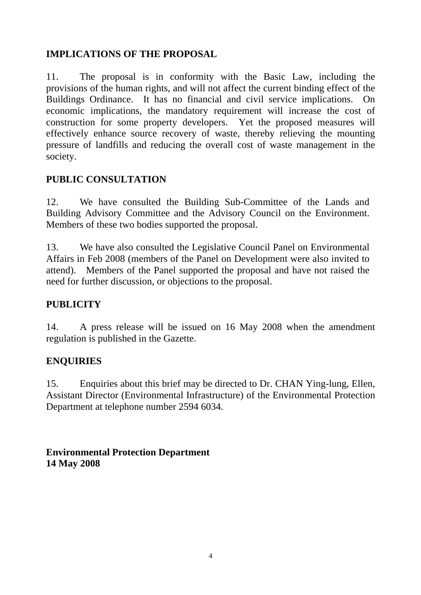# **IMPLICATIONS OF THE PROPOSAL**

11. The proposal is in conformity with the Basic Law, including the provisions of the human rights, and will not affect the current binding effect of the Buildings Ordinance. It has no financial and civil service implications. On economic implications, the mandatory requirement will increase the cost of construction for some property developers. Yet the proposed measures will effectively enhance source recovery of waste, thereby relieving the mounting pressure of landfills and reducing the overall cost of waste management in the society.

## **PUBLIC CONSULTATION**

12. We have consulted the Building Sub-Committee of the Lands and Building Advisory Committee and the Advisory Council on the Environment. Members of these two bodies supported the proposal.

13. We have also consulted the Legislative Council Panel on Environmental Affairs in Feb 2008 (members of the Panel on Development were also invited to attend). Members of the Panel supported the proposal and have not raised the need for further discussion, or objections to the proposal.

## **PUBLICITY**

14. A press release will be issued on 16 May 2008 when the amendment regulation is published in the Gazette.

## **ENQUIRIES**

15. Enquiries about this brief may be directed to Dr. CHAN Ying-lung, Ellen, Assistant Director (Environmental Infrastructure) of the Environmental Protection Department at telephone number 2594 6034.

**Environmental Protection Department 14 May 2008**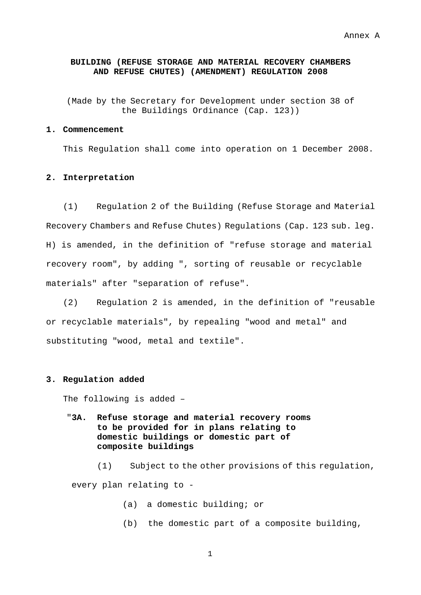#### **BUILDING (REFUSE STORAGE AND MATERIAL RECOVERY CHAMBERS AND REFUSE CHUTES) (AMENDMENT) REGULATION 2008**

(Made by the Secretary for Development under section 38 of the Buildings Ordinance (Cap. 123))

#### **1. Commencement**

This Regulation shall come into operation on 1 December 2008.

#### **2. Interpretation**

 (1) Regulation 2 of the Building (Refuse Storage and Material Recovery Chambers and Refuse Chutes) Regulations (Cap. 123 sub. leg. H) is amended, in the definition of "refuse storage and material recovery room", by adding ", sorting of reusable or recyclable materials" after "separation of refuse".

 (2) Regulation 2 is amended, in the definition of "reusable or recyclable materials", by repealing "wood and metal" and substituting "wood, metal and textile".

#### **3. Regulation added**

The following is added –

"**3A. Refuse storage and material recovery rooms to be provided for in plans relating to domestic buildings or domestic part of composite buildings**

(1) Subject to the other provisions of this regulation, every plan relating to -

- (a) a domestic building; or
- (b) the domestic part of a composite building,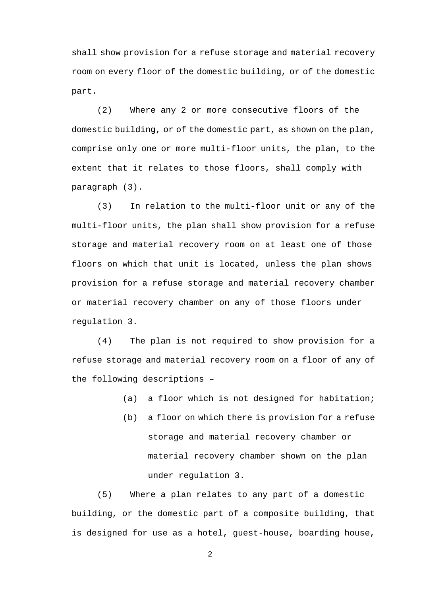shall show provision for a refuse storage and material recovery room on every floor of the domestic building, or of the domestic part.

(2) Where any 2 or more consecutive floors of the domestic building, or of the domestic part, as shown on the plan, comprise only one or more multi-floor units, the plan, to the extent that it relates to those floors, shall comply with paragraph (3).

(3) In relation to the multi-floor unit or any of the multi-floor units, the plan shall show provision for a refuse storage and material recovery room on at least one of those floors on which that unit is located, unless the plan shows provision for a refuse storage and material recovery chamber or material recovery chamber on any of those floors under regulation 3.

(4) The plan is not required to show provision for a refuse storage and material recovery room on a floor of any of the following descriptions –

- (a) a floor which is not designed for habitation;
- (b) a floor on which there is provision for a refuse storage and material recovery chamber or material recovery chamber shown on the plan under regulation 3.

(5) Where a plan relates to any part of a domestic building, or the domestic part of a composite building, that is designed for use as a hotel, guest-house, boarding house,

6 2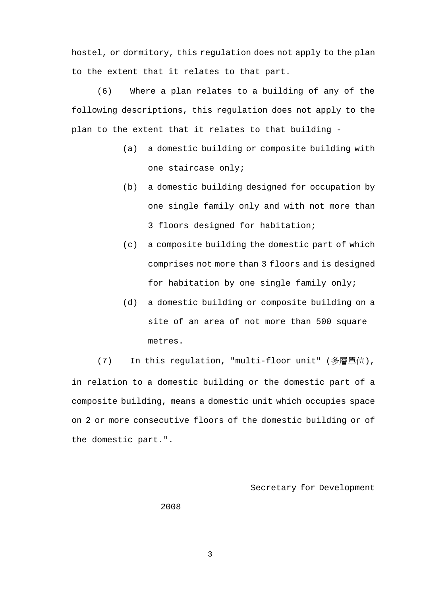hostel, or dormitory, this regulation does not apply to the plan to the extent that it relates to that part.

(6) Where a plan relates to a building of any of the following descriptions, this regulation does not apply to the plan to the extent that it relates to that building -

- (a) a domestic building or composite building with one staircase only;
- (b) a domestic building designed for occupation by one single family only and with not more than 3 floors designed for habitation;
- (c) a composite building the domestic part of which comprises not more than 3 floors and is designed for habitation by one single family only;
- (d) a domestic building or composite building on a site of an area of not more than 500 square metres.

(7) In this regulation, "multi-floor unit" (多層單位), in relation to a domestic building or the domestic part of a composite building, means a domestic unit which occupies space on 2 or more consecutive floors of the domestic building or of the domestic part.".

#### Secretary for Development

2008

7 3